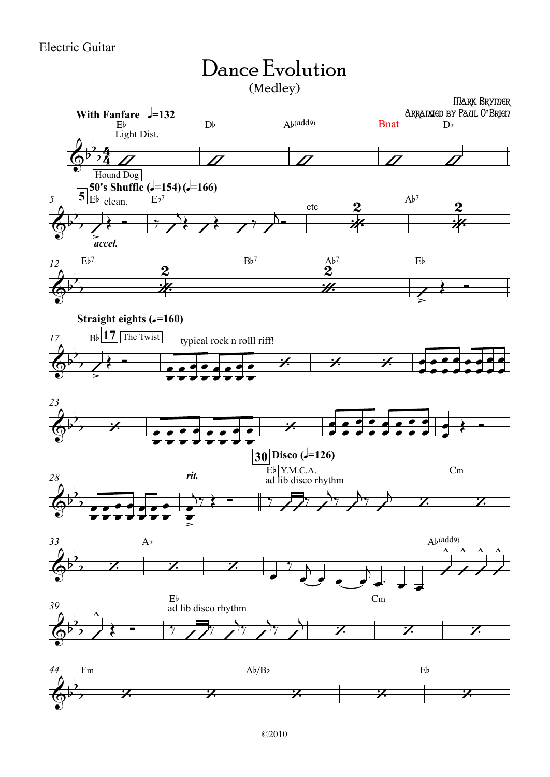## Dance Evolution (Medley)

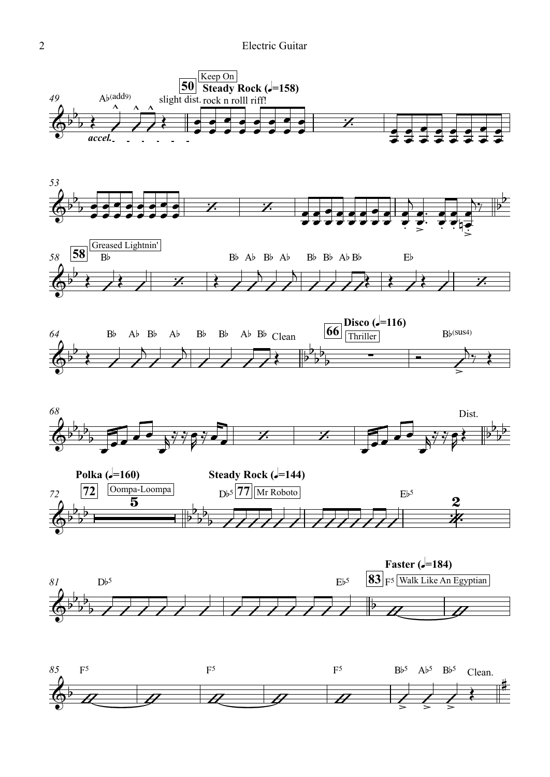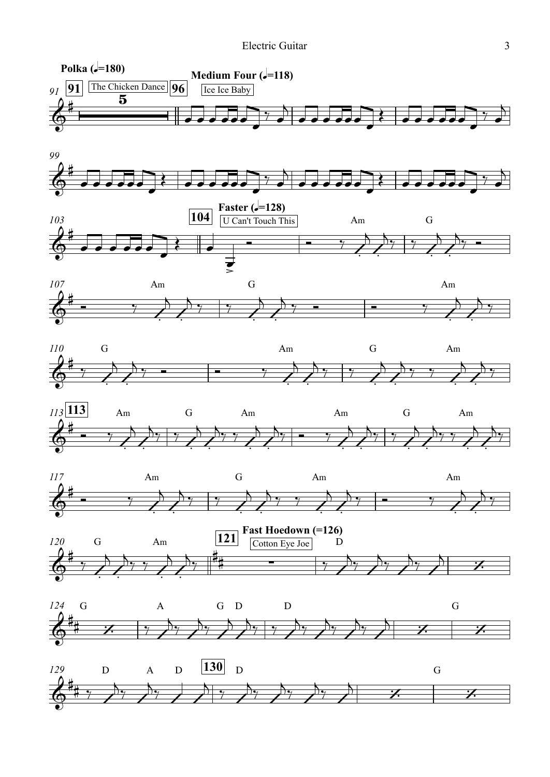